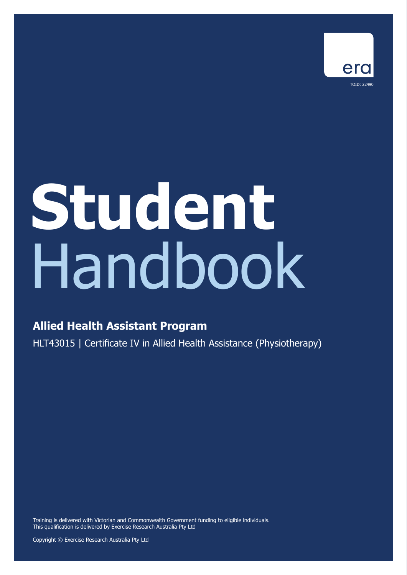

# **Student** Handbook

### **Allied Health Assistant Program**

HLT43015 | Certificate IV in Allied Health Assistance (Physiotherapy)

Training is delivered with Victorian and Commonwealth Government funding to eligible individuals. This qualification is delivered by Exercise Research Australia Pty Ltd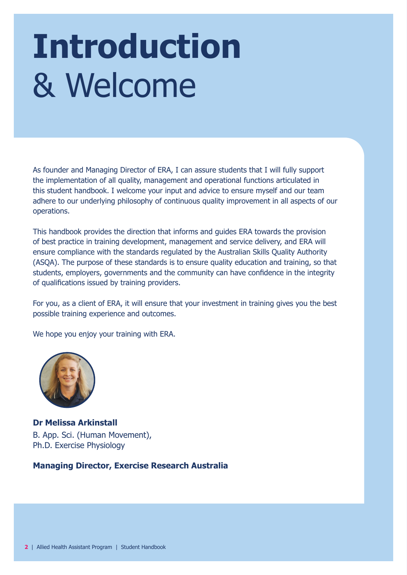# **Introduction**  & Welcome

As founder and Managing Director of ERA, I can assure students that I will fully support the implementation of all quality, management and operational functions articulated in this student handbook. I welcome your input and advice to ensure myself and our team adhere to our underlying philosophy of continuous quality improvement in all aspects of our operations.

This handbook provides the direction that informs and guides ERA towards the provision of best practice in training development, management and service delivery, and ERA will ensure compliance with the standards regulated by the Australian Skills Quality Authority (ASQA). The purpose of these standards is to ensure quality education and training, so that students, employers, governments and the community can have confidence in the integrity of qualifications issued by training providers.

For you, as a client of ERA, it will ensure that your investment in training gives you the best possible training experience and outcomes.

We hope you enjoy your training with ERA.



**Dr Melissa Arkinstall**  B. App. Sci. (Human Movement), Ph.D. Exercise Physiology

### **Managing Director, Exercise Research Australia**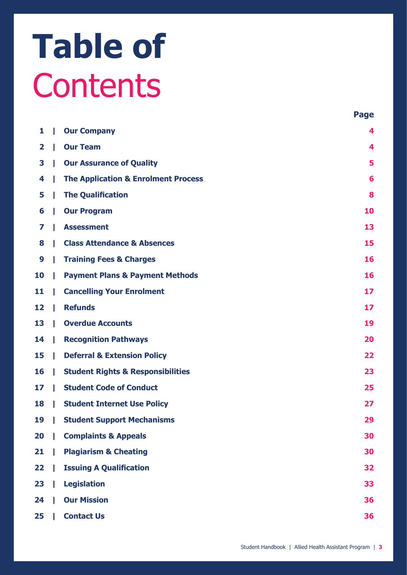# **Table of Contents**

| 1            |   | <b>Our Company</b>                             | 4  |
|--------------|---|------------------------------------------------|----|
| $\mathbf{2}$ | ı | <b>Our Team</b>                                | 4  |
| 3            | ı | <b>Our Assurance of Quality</b>                | 5  |
| 4            | ı | <b>The Application &amp; Enrolment Process</b> | 6  |
| 5            | ı | <b>The Qualification</b>                       | 8  |
| 6            | Ш | <b>Our Program</b>                             | 10 |
| 7            | Ш | <b>Assessment</b>                              | 13 |
| 8            | Ш | <b>Class Attendance &amp; Absences</b>         | 15 |
| 9            | Ш | <b>Training Fees &amp; Charges</b>             | 16 |
| 10           | L | <b>Payment Plans &amp; Payment Methods</b>     | 16 |
| 11           | L | <b>Cancelling Your Enrolment</b>               | 17 |
| 12           | Ш | <b>Refunds</b>                                 | 17 |
| 13           | L | <b>Overdue Accounts</b>                        | 19 |
| 14           | L | <b>Recognition Pathways</b>                    | 20 |
| 15           | Ш | <b>Deferral &amp; Extension Policy</b>         | 22 |
| 16           | L | <b>Student Rights &amp; Responsibilities</b>   | 23 |
| 17           | L | <b>Student Code of Conduct</b>                 | 25 |
| 18           | L | <b>Student Internet Use Policy</b>             | 27 |
| 19           | I | <b>Student Support Mechanisms</b>              | 29 |
| 20           |   | <b>Complaints &amp; Appeals</b>                | 30 |
| 21           | L | <b>Plagiarism &amp; Cheating</b>               | 30 |
| 22           |   | <b>Issuing A Qualification</b>                 | 32 |
| 23           | L | <b>Legislation</b>                             | 33 |
| 24           |   | <b>Our Mission</b>                             | 36 |
| 25           |   | <b>Contact Us</b>                              | 36 |

**Page**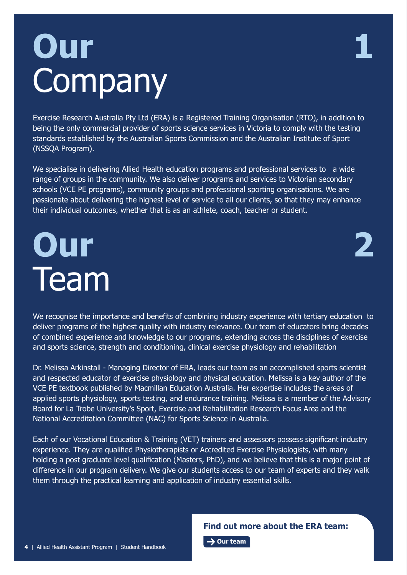# <span id="page-3-0"></span>**Our** Company

Exercise Research Australia Pty Ltd (ERA) is a Registered Training Organisation (RTO), in addition to being the only commercial provider of sports science services in Victoria to comply with the testing standards established by the Australian Sports Commission and the Australian Institute of Sport (NSSQA Program).

We specialise in delivering Allied Health education programs and professional services to a wide range of groups in the community. We also deliver programs and services to Victorian secondary schools (VCE PE programs), community groups and professional sporting organisations. We are passionate about delivering the highest level of service to all our clients, so that they may enhance their individual outcomes, whether that is as an athlete, coach, teacher or student.

# **Our 2** Team

We recognise the importance and benefits of combining industry experience with tertiary education to deliver programs of the highest quality with industry relevance. Our team of educators bring decades of combined experience and knowledge to our programs, extending across the disciplines of exercise and sports science, strength and conditioning, clinical exercise physiology and rehabilitation

Dr. Melissa Arkinstall - Managing Director of ERA, leads our team as an accomplished sports scientist and respected educator of exercise physiology and physical education. Melissa is a key author of the VCE PE textbook published by Macmillan Education Australia. Her expertise includes the areas of applied sports physiology, sports testing, and endurance training. Melissa is a member of the Advisory Board for La Trobe University's Sport, Exercise and Rehabilitation Research Focus Area and the National Accreditation Committee (NAC) for Sports Science in Australia.

Each of our Vocational Education & Training (VET) trainers and assessors possess significant industry experience. They are qualified Physiotherapists or Accredited Exercise Physiologists, with many holding a post graduate level qualification (Masters, PhD), and we believe that this is a major point of difference in our program delivery. We give our students access to our team of experts and they walk them through the practical learning and application of industry essential skills.

### **Find out more about the ERA team:**

**→ [Our team](https://www.exerciseresearch.com.au/about/our-team)**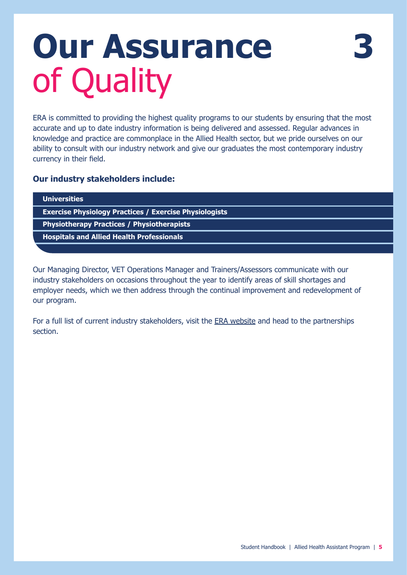# <span id="page-4-0"></span>**Our Assurance** of Quality

ERA is committed to providing the highest quality programs to our students by ensuring that the most accurate and up to date industry information is being delivered and assessed. Regular advances in knowledge and practice are commonplace in the Allied Health sector, but we pride ourselves on our ability to consult with our industry network and give our graduates the most contemporary industry currency in their field.

### **Our industry stakeholders include:**

| <b>Universities</b>                                           |
|---------------------------------------------------------------|
| <b>Exercise Physiology Practices / Exercise Physiologists</b> |
|                                                               |

**Physiotherapy Practices / Physiotherapists**

**Hospitals and Allied Health Professionals**

Our Managing Director, VET Operations Manager and Trainers/Assessors communicate with our industry stakeholders on occasions throughout the year to identify areas of skill shortages and employer needs, which we then address through the continual improvement and redevelopment of our program.

For a full list of current industry stakeholders, visit the [ERA website](https://www.exerciseresearch.com.au/) and head to the partnerships section.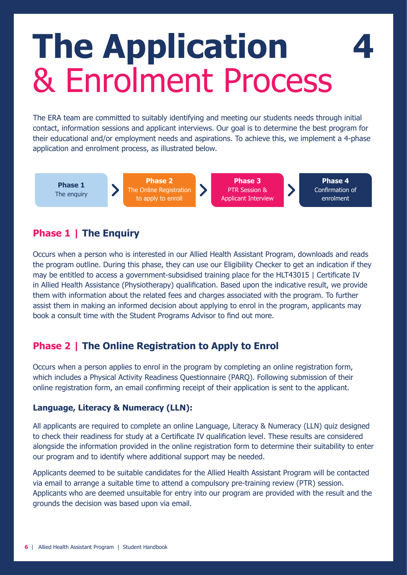# <span id="page-5-0"></span>**The Application** & Enrolment Process

**4**

The ERA team are committed to suitably identifying and meeting our students needs through initial contact, information sessions and applicant interviews. Our goal is to determine the best program for their educational and/or employment needs and aspirations. To achieve this, we implement a 4-phase application and enrolment process, as illustrated below.



### **Phase 1 | The Enquiry**

Occurs when a person who is interested in our Allied Health Assistant Program, downloads and reads the program outline. During this phase, they can use our Eligibility Checker to get an indication if they may be entitled to access a government-subsidised training place for the HLT43015 | Certificate IV in Allied Health Assistance (Physiotherapy) qualification. Based upon the indicative result, we provide them with information about the related fees and charges associated with the program. To further assist them in making an informed decision about applying to enrol in the program, applicants may book a consult time with the Student Programs Advisor to find out more.

### **Phase 2 | The Online Registration to Apply to Enrol**

Occurs when a person applies to enrol in the program by completing an online registration form, which includes a Physical Activity Readiness Questionnaire (PARQ). Following submission of their online registration form, an email confirming receipt of their application is sent to the applicant.

### **Language, Literacy & Numeracy (LLN):**

All applicants are required to complete an online Language, Literacy & Numeracy (LLN) quiz designed to check their readiness for study at a Certificate IV qualification level. These results are considered alongside the information provided in the online registration form to determine their suitability to enter our program and to identify where additional support may be needed.

Applicants deemed to be suitable candidates for the Allied Health Assistant Program will be contacted via email to arrange a suitable time to attend a compulsory pre-training review (PTR) session. Applicants who are deemed unsuitable for entry into our program are provided with the result and the grounds the decision was based upon via email.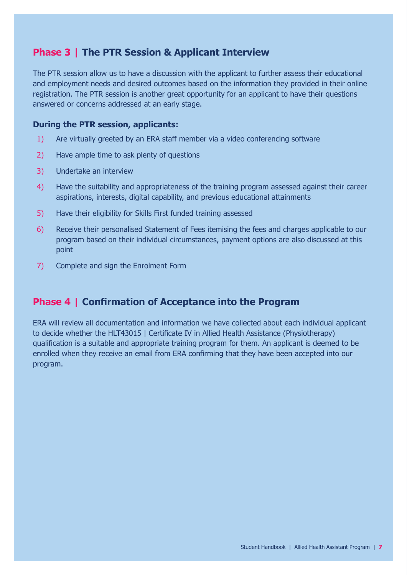### **Phase 3 | The PTR Session & Applicant Interview**

The PTR session allow us to have a discussion with the applicant to further assess their educational and employment needs and desired outcomes based on the information they provided in their online registration. The PTR session is another great opportunity for an applicant to have their questions answered or concerns addressed at an early stage.

#### **During the PTR session, applicants:**

- 1) Are virtually greeted by an ERA staff member via a video conferencing software
- 2) Have ample time to ask plenty of questions
- 3) Undertake an interview
- 4) Have the suitability and appropriateness of the training program assessed against their career aspirations, interests, digital capability, and previous educational attainments
- 5) Have their eligibility for Skills First funded training assessed
- 6) Receive their personalised Statement of Fees itemising the fees and charges applicable to our program based on their individual circumstances, payment options are also discussed at this point
- 7) Complete and sign the Enrolment Form

### **Phase 4 | Confirmation of Acceptance into the Program**

ERA will review all documentation and information we have collected about each individual applicant to decide whether the HLT43015 | Certificate IV in Allied Health Assistance (Physiotherapy) qualification is a suitable and appropriate training program for them. An applicant is deemed to be enrolled when they receive an email from ERA confirming that they have been accepted into our program.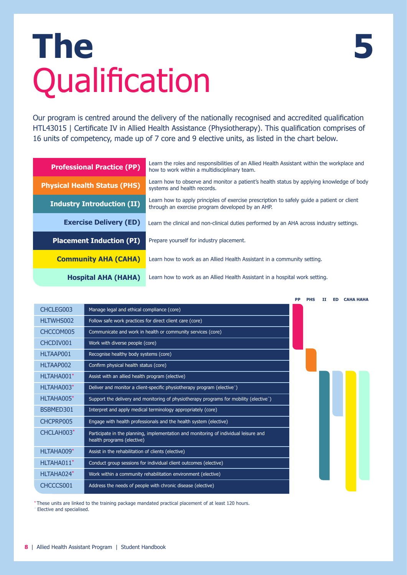# <span id="page-7-0"></span>**The** Qualification

Our program is centred around the delivery of the nationally recognised and accredited qualification HTL43015 | Certificate IV in Allied Health Assistance (Physiotherapy). This qualification comprises of 16 units of competency, made up of 7 core and 9 elective units, as listed in the chart below.

**5**

| <b>Professional Practice (PP)</b>   | Learn the roles and responsibilities of an Allied Health Assistant within the workplace and<br>how to work within a multidisciplinary team.    |  |  |  |  |
|-------------------------------------|------------------------------------------------------------------------------------------------------------------------------------------------|--|--|--|--|
| <b>Physical Health Status (PHS)</b> | Learn how to observe and monitor a patient's health status by applying knowledge of body<br>systems and health records.                        |  |  |  |  |
| <b>Industry Introduction (II)</b>   | Learn how to apply principles of exercise prescription to safely guide a patient or client<br>through an exercise program developed by an AHP. |  |  |  |  |
| <b>Exercise Delivery (ED)</b>       | Learn the clinical and non-clinical duties performed by an AHA across industry settings.                                                       |  |  |  |  |
| <b>Placement Induction (PI)</b>     | Prepare yourself for industry placement.                                                                                                       |  |  |  |  |
| <b>Community AHA (CAHA)</b>         | Learn how to work as an Allied Health Assistant in a community setting.                                                                        |  |  |  |  |
| Hospital AHA (HAHA)                 | Learn how to work as an Allied Health Assistant in a hospital work setting.                                                                    |  |  |  |  |

|            |                                                                                                                    | <b>PP</b> | <b>PHS</b> | TT | <b>ED</b> | <b>CAHA HAHA</b> |
|------------|--------------------------------------------------------------------------------------------------------------------|-----------|------------|----|-----------|------------------|
| CHCLEG003  | Manage legal and ethical compliance (core)                                                                         |           |            |    |           |                  |
| HLTWHS002  | Follow safe work practices for direct client care (core)                                                           |           |            |    |           |                  |
| CHCCOM005  | Communicate and work in health or community services (core)                                                        |           |            |    |           |                  |
| CHCDIV001  | Work with diverse people (core)                                                                                    |           |            |    |           |                  |
| HLTAAP001  | Recognise healthy body systems (core)                                                                              |           |            |    |           |                  |
| HLTAAP002  | Confirm physical health status (core)                                                                              |           |            |    |           |                  |
| HLTAHA001* | Assist with an allied health program (elective)                                                                    |           |            |    |           |                  |
| HLTAHA003* | Deliver and monitor a client-specific physiotherapy program (elective <sup><math>\land</math></sup> )              |           |            |    |           |                  |
| HLTAHA005* | Support the delivery and monitoring of physiotherapy programs for mobility (elective^)                             |           |            |    |           |                  |
| BSBMED301  | Interpret and apply medical terminology appropriately (core)                                                       |           |            |    |           |                  |
| CHCPRP005  | Engage with health professionals and the health system (elective)                                                  |           |            |    |           |                  |
| CHCLAH003* | Participate in the planning, implementation and monitoring of individual leisure and<br>health programs (elective) |           |            |    |           |                  |
| HLTAHA009* | Assist in the rehabilitation of clients (elective)                                                                 |           |            |    |           |                  |
| HLTAHA011* | Conduct group sessions for individual client outcomes (elective)                                                   |           |            |    |           |                  |
| HLTAHA024* | Work within a community rehabilitation environment (elective)                                                      |           |            |    |           |                  |
| CHCCCS001  | Address the needs of people with chronic disease (elective)                                                        |           |            |    |           |                  |

**\*** These units are linked to the training package mandated practical placement of at least 120 hours. **^** Elective and specialised.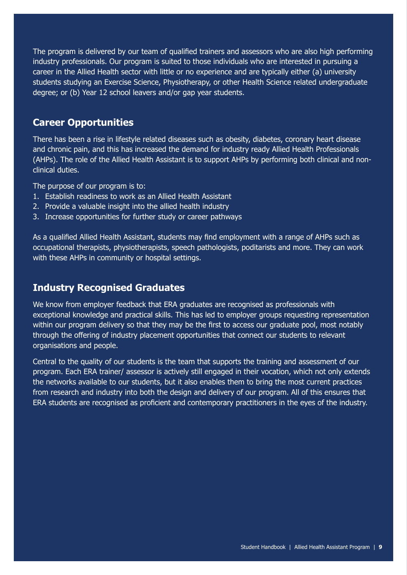The program is delivered by our team of qualified trainers and assessors who are also high performing industry professionals. Our program is suited to those individuals who are interested in pursuing a career in the Allied Health sector with little or no experience and are typically either (a) university students studying an Exercise Science, Physiotherapy, or other Health Science related undergraduate degree; or (b) Year 12 school leavers and/or gap year students.

### **Career Opportunities**

There has been a rise in lifestyle related diseases such as obesity, diabetes, coronary heart disease and chronic pain, and this has increased the demand for industry ready Allied Health Professionals (AHPs). The role of the Allied Health Assistant is to support AHPs by performing both clinical and nonclinical duties.

The purpose of our program is to:

- 1. Establish readiness to work as an Allied Health Assistant
- 2. Provide a valuable insight into the allied health industry
- 3. Increase opportunities for further study or career pathways

As a qualified Allied Health Assistant, students may find employment with a range of AHPs such as occupational therapists, physiotherapists, speech pathologists, poditarists and more. They can work with these AHPs in community or hospital settings.

### **Industry Recognised Graduates**

We know from employer feedback that ERA graduates are recognised as professionals with exceptional knowledge and practical skills. This has led to employer groups requesting representation within our program delivery so that they may be the first to access our graduate pool, most notably through the offering of industry placement opportunities that connect our students to relevant organisations and people.

Central to the quality of our students is the team that supports the training and assessment of our program. Each ERA trainer/ assessor is actively still engaged in their vocation, which not only extends the networks available to our students, but it also enables them to bring the most current practices from research and industry into both the design and delivery of our program. All of this ensures that ERA students are recognised as proficient and contemporary practitioners in the eyes of the industry.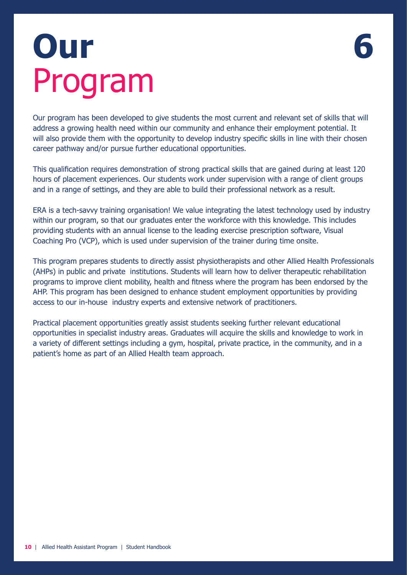# <span id="page-9-0"></span>**Our** Program

Our program has been developed to give students the most current and relevant set of skills that will address a growing health need within our community and enhance their employment potential. It will also provide them with the opportunity to develop industry specific skills in line with their chosen career pathway and/or pursue further educational opportunities.

This qualification requires demonstration of strong practical skills that are gained during at least 120 hours of placement experiences. Our students work under supervision with a range of client groups and in a range of settings, and they are able to build their professional network as a result.

ERA is a tech-savvy training organisation! We value integrating the latest technology used by industry within our program, so that our graduates enter the workforce with this knowledge. This includes providing students with an annual license to the leading exercise prescription software, Visual Coaching Pro (VCP), which is used under supervision of the trainer during time onsite.

This program prepares students to directly assist physiotherapists and other Allied Health Professionals (AHPs) in public and private institutions. Students will learn how to deliver therapeutic rehabilitation programs to improve client mobility, health and fitness where the program has been endorsed by the AHP. This program has been designed to enhance student employment opportunities by providing access to our in-house industry experts and extensive network of practitioners.

Practical placement opportunities greatly assist students seeking further relevant educational opportunities in specialist industry areas. Graduates will acquire the skills and knowledge to work in a variety of different settings including a gym, hospital, private practice, in the community, and in a patient's home as part of an Allied Health team approach.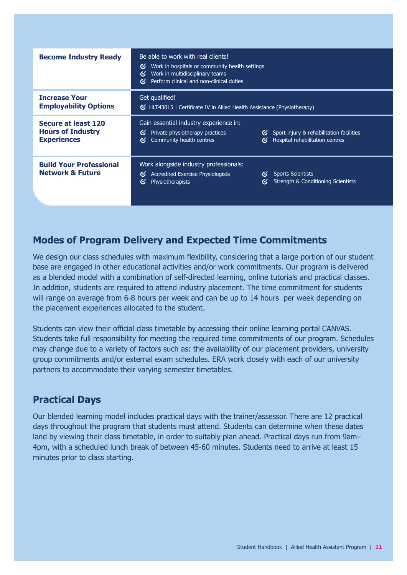| <b>Become Industry Ready</b>                                          | Be able to work with real clients!<br>Work in hospitals or community health settings<br>⊌<br>Work in multidisciplinary teams<br>$\sigma$<br>Perform clinical and non-clinical duties<br>$\alpha$                                     |  |  |
|-----------------------------------------------------------------------|--------------------------------------------------------------------------------------------------------------------------------------------------------------------------------------------------------------------------------------|--|--|
| <b>Increase Your</b><br><b>Employability Options</b>                  | Get qualified!<br>G HLT43015   Certificate IV in Allied Health Assistance (Physiotherapy)                                                                                                                                            |  |  |
| Secure at least 120<br><b>Hours of Industry</b><br><b>Experiences</b> | Gain essential industry experience in:<br>Private physiotherapy practices<br>Sport injury & rehabilitation facilities<br>$\sigma$<br>$\sigma$<br>Community health centres<br>Hospital rehabilitation centres<br>$\alpha$<br>$\sigma$ |  |  |
| <b>Build Your Professional</b><br><b>Network &amp; Future</b>         | Work alongside industry professionals:<br>Accredited Exercise Physiologists<br><b>Sports Scientists</b><br>$\alpha$<br>$\sigma$<br>Strength & Conditioning Scientists<br>$\alpha$<br>$\alpha$<br>Physiotherapists                    |  |  |

### **Modes of Program Delivery and Expected Time Commitments**

We design our class schedules with maximum flexibility, considering that a large portion of our student base are engaged in other educational activities and/or work commitments. Our program is delivered as a blended model with a combination of self-directed learning, online tutorials and practical classes. In addition, students are required to attend industry placement. The time commitment for students will range on average from 6-8 hours per week and can be up to 14 hours per week depending on the placement experiences allocated to the student.

Students can view their official class timetable by accessing their online learning portal CANVAS. Students take full responsibility for meeting the required time commitments of our program. Schedules may change due to a variety of factors such as: the availability of our placement providers, university group commitments and/or external exam schedules. ERA work closely with each of our university partners to accommodate their varying semester timetables.

### **Practical Days**

Our blended learning model includes practical days with the trainer/assessor. There are 12 practical days throughout the program that students must attend. Students can determine when these dates land by viewing their class timetable, in order to suitably plan ahead. Practical days run from 9am– 4pm, with a scheduled lunch break of between 45-60 minutes. Students need to arrive at least 15 minutes prior to class starting.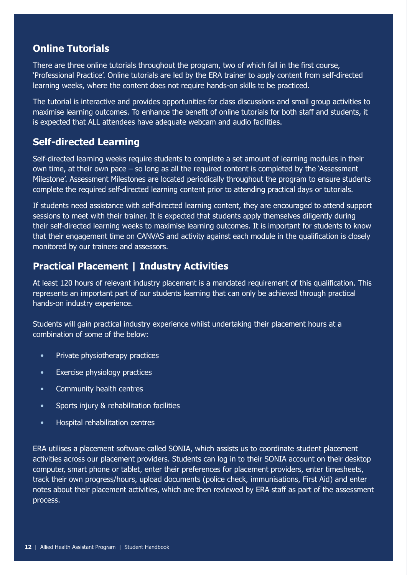### **Online Tutorials**

There are three online tutorials throughout the program, two of which fall in the first course, 'Professional Practice'. Online tutorials are led by the ERA trainer to apply content from self-directed learning weeks, where the content does not require hands-on skills to be practiced.

The tutorial is interactive and provides opportunities for class discussions and small group activities to maximise learning outcomes. To enhance the benefit of online tutorials for both staff and students, it is expected that ALL attendees have adequate webcam and audio facilities.

### **Self-directed Learning**

Self-directed learning weeks require students to complete a set amount of learning modules in their own time, at their own pace – so long as all the required content is completed by the 'Assessment Milestone'. Assessment Milestones are located periodically throughout the program to ensure students complete the required self-directed learning content prior to attending practical days or tutorials.

If students need assistance with self-directed learning content, they are encouraged to attend support sessions to meet with their trainer. It is expected that students apply themselves diligently during their self-directed learning weeks to maximise learning outcomes. It is important for students to know that their engagement time on CANVAS and activity against each module in the qualification is closely monitored by our trainers and assessors.

### **Practical Placement | Industry Activities**

At least 120 hours of relevant industry placement is a mandated requirement of this qualification. This represents an important part of our students learning that can only be achieved through practical hands-on industry experience.

Students will gain practical industry experience whilst undertaking their placement hours at a combination of some of the below:

- Private physiotherapy practices
- Exercise physiology practices
- Community health centres
- Sports injury & rehabilitation facilities
- Hospital rehabilitation centres

ERA utilises a placement software called SONIA, which assists us to coordinate student placement activities across our placement providers. Students can log in to their SONIA account on their desktop computer, smart phone or tablet, enter their preferences for placement providers, enter timesheets, track their own progress/hours, upload documents (police check, immunisations, First Aid) and enter notes about their placement activities, which are then reviewed by ERA staff as part of the assessment process.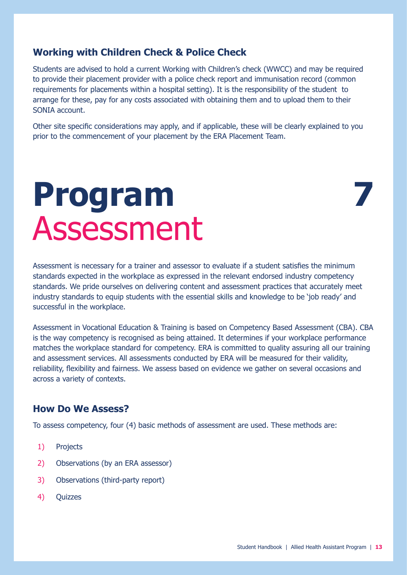### <span id="page-12-0"></span>**Working with Children Check & Police Check**

Students are advised to hold a current Working with Children's check (WWCC) and may be required to provide their placement provider with a police check report and immunisation record (common requirements for placements within a hospital setting). It is the responsibility of the student to arrange for these, pay for any costs associated with obtaining them and to upload them to their SONIA account.

Other site specific considerations may apply, and if applicable, these will be clearly explained to you prior to the commencement of your placement by the ERA Placement Team.

# **Program** Assessment

Assessment is necessary for a trainer and assessor to evaluate if a student satisfies the minimum standards expected in the workplace as expressed in the relevant endorsed industry competency standards. We pride ourselves on delivering content and assessment practices that accurately meet industry standards to equip students with the essential skills and knowledge to be 'job ready' and successful in the workplace.

Assessment in Vocational Education & Training is based on Competency Based Assessment (CBA). CBA is the way competency is recognised as being attained. It determines if your workplace performance matches the workplace standard for competency. ERA is committed to quality assuring all our training and assessment services. All assessments conducted by ERA will be measured for their validity, reliability, flexibility and fairness. We assess based on evidence we gather on several occasions and across a variety of contexts.

### **How Do We Assess?**

To assess competency, four (4) basic methods of assessment are used. These methods are:

- 1) Projects
- 2) Observations (by an ERA assessor)
- 3) Observations (third-party report)
- 4) Quizzes

**7**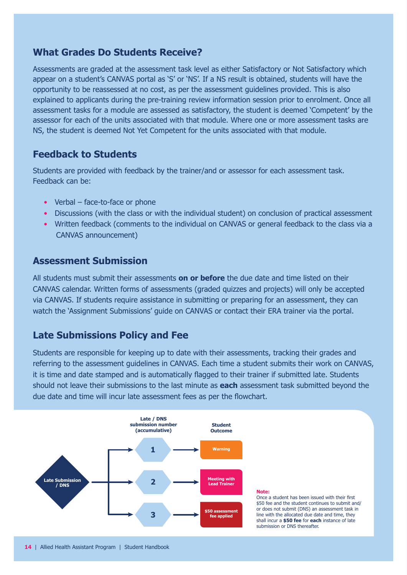### **What Grades Do Students Receive?**

Assessments are graded at the assessment task level as either Satisfactory or Not Satisfactory which appear on a student's CANVAS portal as 'S' or 'NS'. If a NS result is obtained, students will have the opportunity to be reassessed at no cost, as per the assessment guidelines provided. This is also explained to applicants during the pre-training review information session prior to enrolment. Once all assessment tasks for a module are assessed as satisfactory, the student is deemed 'Competent' by the assessor for each of the units associated with that module. Where one or more assessment tasks are NS, the student is deemed Not Yet Competent for the units associated with that module.

### **Feedback to Students**

Students are provided with feedback by the trainer/and or assessor for each assessment task. Feedback can be:

- Verbal face-to-face or phone
- Discussions (with the class or with the individual student) on conclusion of practical assessment
- Written feedback (comments to the individual on CANVAS or general feedback to the class via a CANVAS announcement)

### **Assessment Submission**

All students must submit their assessments **on or before** the due date and time listed on their CANVAS calendar. Written forms of assessments (graded quizzes and projects) will only be accepted via CANVAS. If students require assistance in submitting or preparing for an assessment, they can watch the 'Assignment Submissions' guide on CANVAS or contact their ERA trainer via the portal.

### **Late Submissions Policy and Fee**

Students are responsible for keeping up to date with their assessments, tracking their grades and referring to the assessment guidelines in CANVAS. Each time a student submits their work on CANVAS, it is time and date stamped and is automatically flagged to their trainer if submitted late. Students should not leave their submissions to the last minute as **each** assessment task submitted beyond the due date and time will incur late assessment fees as per the flowchart.

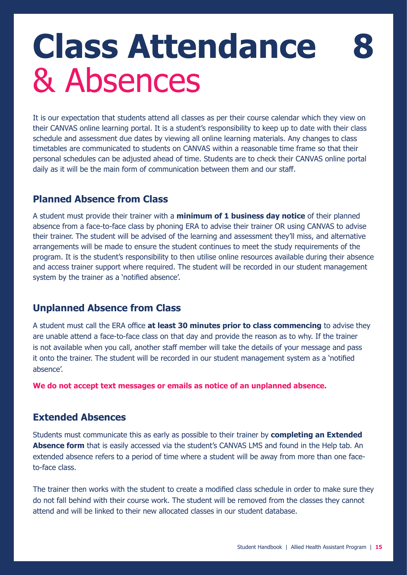# <span id="page-14-0"></span>**Class Attendance** & Absences

It is our expectation that students attend all classes as per their course calendar which they view on their CANVAS online learning portal. It is a student's responsibility to keep up to date with their class schedule and assessment due dates by viewing all online learning materials. Any changes to class timetables are communicated to students on CANVAS within a reasonable time frame so that their personal schedules can be adjusted ahead of time. Students are to check their CANVAS online portal daily as it will be the main form of communication between them and our staff.

### **Planned Absence from Class**

A student must provide their trainer with a **minimum of 1 business day notice** of their planned absence from a face-to-face class by phoning ERA to advise their trainer OR using CANVAS to advise their trainer. The student will be advised of the learning and assessment they'll miss, and alternative arrangements will be made to ensure the student continues to meet the study requirements of the program. It is the student's responsibility to then utilise online resources available during their absence and access trainer support where required. The student will be recorded in our student management system by the trainer as a 'notified absence'.

### **Unplanned Absence from Class**

A student must call the ERA office **at least 30 minutes prior to class commencing** to advise they are unable attend a face-to-face class on that day and provide the reason as to why. If the trainer is not available when you call, another staff member will take the details of your message and pass it onto the trainer. The student will be recorded in our student management system as a 'notified absence'.

**We do not accept text messages or emails as notice of an unplanned absence.**

### **Extended Absences**

Students must communicate this as early as possible to their trainer by **completing an Extended Absence form** that is easily accessed via the student's CANVAS LMS and found in the Help tab. An extended absence refers to a period of time where a student will be away from more than one faceto-face class.

The trainer then works with the student to create a modified class schedule in order to make sure they do not fall behind with their course work. The student will be removed from the classes they cannot attend and will be linked to their new allocated classes in our student database.

**8**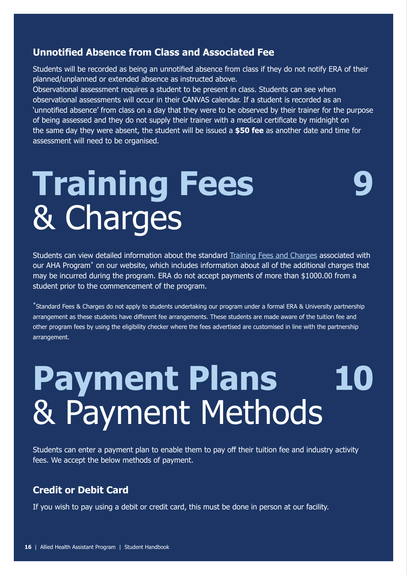### <span id="page-15-0"></span>**Unnotified Absence from Class and Associated Fee**

Students will be recorded as being an unnotified absence from class if they do not notify ERA of their planned/unplanned or extended absence as instructed above.

Observational assessment requires a student to be present in class. Students can see when observational assessments will occur in their CANVAS calendar. If a student is recorded as an 'unnotified absence' from class on a day that they were to be observed by their trainer for the purpose of being assessed and they do not supply their trainer with a medical certificate by midnight on the same day they were absent, the student will be issued a **\$50 fee** as another date and time for assessment will need to be organised.

**9**

# **Training Fees** & Charges

Students can view detailed information about the standard [Training Fees and Charges](https://www.exerciseresearch.com.au/governance/training-fees) associated with our AHA Program**\*** on our website, which includes information about all of the additional charges that may be incurred during the program. ERA do not accept payments of more than \$1000.00 from a student prior to the commencement of the program.

**\***Standard Fees & Charges do not apply to students undertaking our program under a formal ERA & University partnership arrangement as these students have different fee arrangements. These students are made aware of the tuition fee and other program fees by using the eligibility checker where the fees advertised are customised in line with the partnership arrangement.

### **Payment Plans** & Payment Methods **10**

Students can enter a payment plan to enable them to pay off their tuition fee and industry activity fees. We accept the below methods of payment.

### **Credit or Debit Card**

If you wish to pay using a debit or credit card, this must be done in person at our facility.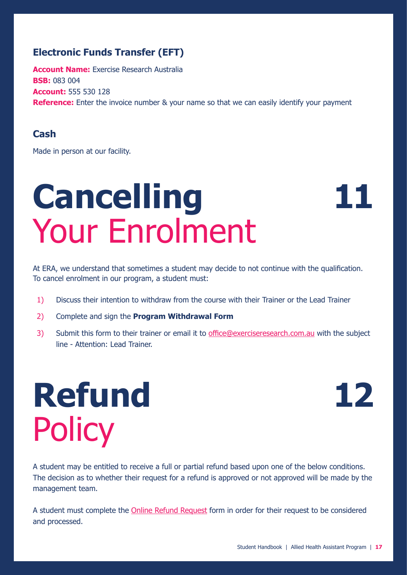### <span id="page-16-0"></span>**Electronic Funds Transfer (EFT)**

**Account Name:** Exercise Research Australia **BSB:** 083 004 **Account:** 555 530 128 **Reference:** Enter the invoice number & your name so that we can easily identify your payment

### **Cash**

Made in person at our facility.

# **Cancelling** Your Enrolment

**11**

At ERA, we understand that sometimes a student may decide to not continue with the qualification. To cancel enrolment in our program, a student must:

- 1) Discuss their intention to withdraw from the course with their Trainer or the Lead Trainer
- 2) Complete and sign the **Program Withdrawal Form**
- 3) Submit this form to their trainer or email it to [office@exerciseresearch.com.au](mailto:office%40exerciseresearch.com.au?subject=Attention%3A%20Training%20%26%20Quality%20Coordinator) with the subject line - Attention: Lead Trainer.

# **Refund Policy**

**12**

A student may be entitled to receive a full or partial refund based upon one of the below conditions. The decision as to whether their request for a refund is approved or not approved will be made by the management team.

A student must complete the [Online Refund Request](https://docs.google.com/forms/d/e/1FAIpQLSelzSahWtEvUbqy-JPYSGV-M0NcsdH5AaR1iwwfW3NTilX74Q/viewform) form in order for their request to be considered and processed.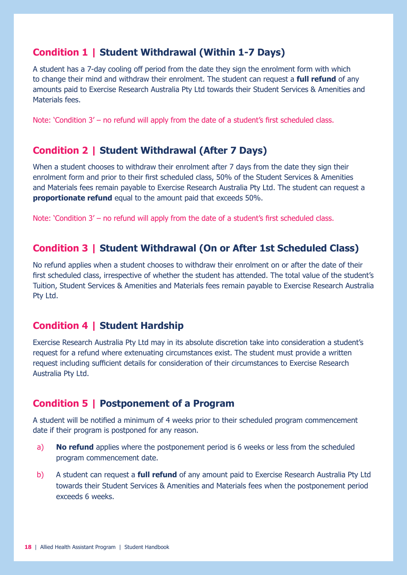### **Condition 1 | Student Withdrawal (Within 1-7 Days)**

A student has a 7-day cooling off period from the date they sign the enrolment form with which to change their mind and withdraw their enrolment. The student can request a **full refund** of any amounts paid to Exercise Research Australia Pty Ltd towards their Student Services & Amenities and Materials fees.

Note: 'Condition 3' – no refund will apply from the date of a student's first scheduled class.

### **Condition 2 | Student Withdrawal (After 7 Days)**

When a student chooses to withdraw their enrolment after 7 days from the date they sign their enrolment form and prior to their first scheduled class, 50% of the Student Services & Amenities and Materials fees remain payable to Exercise Research Australia Pty Ltd. The student can request a **proportionate refund** equal to the amount paid that exceeds 50%.

Note: 'Condition 3' – no refund will apply from the date of a student's first scheduled class.

### **Condition 3 | Student Withdrawal (On or After 1st Scheduled Class)**

No refund applies when a student chooses to withdraw their enrolment on or after the date of their first scheduled class, irrespective of whether the student has attended. The total value of the student's Tuition, Student Services & Amenities and Materials fees remain payable to Exercise Research Australia Pty Ltd.

### **Condition 4 | Student Hardship**

Exercise Research Australia Pty Ltd may in its absolute discretion take into consideration a student's request for a refund where extenuating circumstances exist. The student must provide a written request including sufficient details for consideration of their circumstances to Exercise Research Australia Pty Ltd.

### **Condition 5 | Postponement of a Program**

A student will be notified a minimum of 4 weeks prior to their scheduled program commencement date if their program is postponed for any reason.

- a) **No refund** applies where the postponement period is 6 weeks or less from the scheduled program commencement date.
- b) A student can request a **full refund** of any amount paid to Exercise Research Australia Pty Ltd towards their Student Services & Amenities and Materials fees when the postponement period exceeds 6 weeks.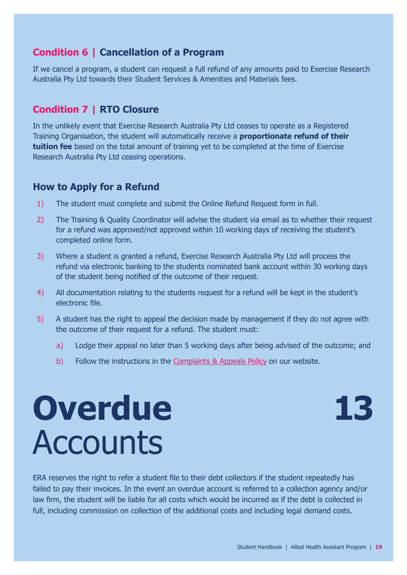### <span id="page-18-0"></span>**Condition 6 | Cancellation of a Program**

If we cancel a program, a student can request a full refund of any amounts paid to Exercise Research Australia Pty Ltd towards their Student Services & Amenities and Materials fees.

### **Condition 7 | RTO Closure**

In the unlikely event that Exercise Research Australia Pty Ltd ceases to operate as a Registered Training Organisation, the student will automatically receive a **proportionate refund of their tuition fee** based on the total amount of training yet to be completed at the time of Exercise Research Australia Pty Ltd ceasing operations.

### **How to Apply for a Refund**

- 1) The student must complete and submit the Online Refund Request form in full.
- 2) The Training & Quality Coordinator will advise the student via email as to whether their request for a refund was approved/not approved within 10 working days of receiving the student's completed online form.
- 3) Where a student is granted a refund, Exercise Research Australia Pty Ltd will process the refund via electronic banking to the students nominated bank account within 30 working days of the student being notified of the outcome of their request.
- 4) All documentation relating to the students request for a refund will be kept in the student's electronic file.
- 5) A student has the right to appeal the decision made by management if they do not agree with the outcome of their request for a refund. The student must:
	- a) Lodge their appeal no later than 5 working days after being advised of the outcome; and
	- b) Follow the instructions in the [Complaints & Appeals Policy](https://www.exerciseresearch.com.au/governance/complaints-and-appeals) on our website.

# **Overdue Accounts**



ERA reserves the right to refer a student file to their debt collectors if the student repeatedly has failed to pay their invoices. In the event an overdue account is referred to a collection agency and/or law firm, the student will be liable for all costs which would be incurred as if the debt is collected in full, including commission on collection of the additional costs and including legal demand costs.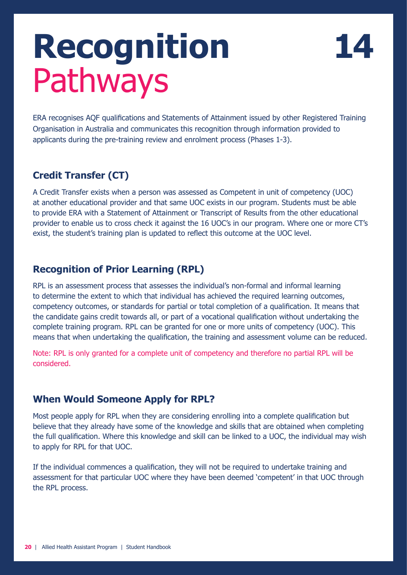### **14**

# <span id="page-19-0"></span>**Recognition** Pathways

ERA recognises AQF qualifications and Statements of Attainment issued by other Registered Training Organisation in Australia and communicates this recognition through information provided to applicants during the pre-training review and enrolment process (Phases 1-3).

### **Credit Transfer (CT)**

A Credit Transfer exists when a person was assessed as Competent in unit of competency (UOC) at another educational provider and that same UOC exists in our program. Students must be able to provide ERA with a Statement of Attainment or Transcript of Results from the other educational provider to enable us to cross check it against the 16 UOC's in our program. Where one or more CT's exist, the student's training plan is updated to reflect this outcome at the UOC level.

### **Recognition of Prior Learning (RPL)**

RPL is an assessment process that assesses the individual's non-formal and informal learning to determine the extent to which that individual has achieved the required learning outcomes, competency outcomes, or standards for partial or total completion of a qualification. It means that the candidate gains credit towards all, or part of a vocational qualification without undertaking the complete training program. RPL can be granted for one or more units of competency (UOC). This means that when undertaking the qualification, the training and assessment volume can be reduced.

Note: RPL is only granted for a complete unit of competency and therefore no partial RPL will be considered.

### **When Would Someone Apply for RPL?**

Most people apply for RPL when they are considering enrolling into a complete qualification but believe that they already have some of the knowledge and skills that are obtained when completing the full qualification. Where this knowledge and skill can be linked to a UOC, the individual may wish to apply for RPL for that UOC.

If the individual commences a qualification, they will not be required to undertake training and assessment for that particular UOC where they have been deemed 'competent' in that UOC through the RPL process.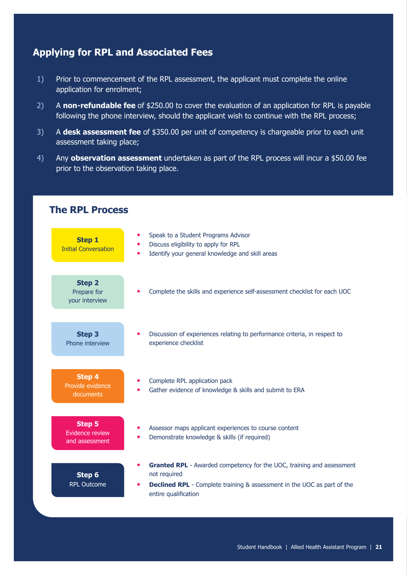### **Applying for RPL and Associated Fees**

- 1) Prior to commencement of the RPL assessment, the applicant must complete the online application for enrolment;
- 2) A **non-refundable fee** of \$250.00 to cover the evaluation of an application for RPL is payable following the phone interview, should the applicant wish to continue with the RPL process;
- 3) A **desk assessment fee** of \$350.00 per unit of competency is chargeable prior to each unit assessment taking place;
- 4) Any **observation assessment** undertaken as part of the RPL process will incur a \$50.00 fee prior to the observation taking place.

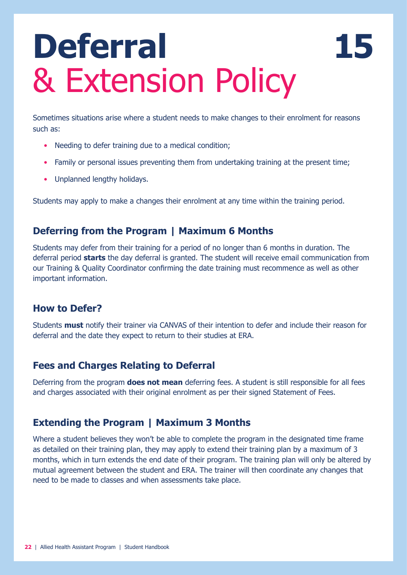# <span id="page-21-0"></span>**Deferral** & Extension Policy

Sometimes situations arise where a student needs to make changes to their enrolment for reasons such as:

**15**

- Needing to defer training due to a medical condition;
- Family or personal issues preventing them from undertaking training at the present time:
- Unplanned lengthy holidays.

Students may apply to make a changes their enrolment at any time within the training period.

### **Deferring from the Program | Maximum 6 Months**

Students may defer from their training for a period of no longer than 6 months in duration. The deferral period **starts** the day deferral is granted. The student will receive email communication from our Training & Quality Coordinator confirming the date training must recommence as well as other important information.

### **How to Defer?**

Students **must** notify their trainer via CANVAS of their intention to defer and include their reason for deferral and the date they expect to return to their studies at ERA.

### **Fees and Charges Relating to Deferral**

Deferring from the program **does not mean** deferring fees. A student is still responsible for all fees and charges associated with their original enrolment as per their signed Statement of Fees.

### **Extending the Program | Maximum 3 Months**

Where a student believes they won't be able to complete the program in the designated time frame as detailed on their training plan, they may apply to extend their training plan by a maximum of 3 months, which in turn extends the end date of their program. The training plan will only be altered by mutual agreement between the student and ERA. The trainer will then coordinate any changes that need to be made to classes and when assessments take place.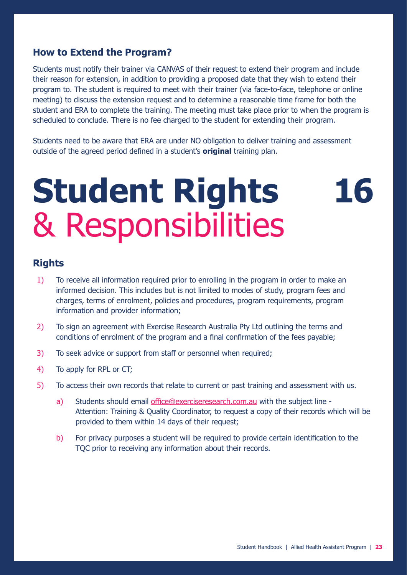### <span id="page-22-0"></span>**How to Extend the Program?**

Students must notify their trainer via CANVAS of their request to extend their program and include their reason for extension, in addition to providing a proposed date that they wish to extend their program to. The student is required to meet with their trainer (via face-to-face, telephone or online meeting) to discuss the extension request and to determine a reasonable time frame for both the student and ERA to complete the training. The meeting must take place prior to when the program is scheduled to conclude. There is no fee charged to the student for extending their program.

Students need to be aware that ERA are under NO obligation to deliver training and assessment outside of the agreed period defined in a student's **original** training plan.

# **Student Rights** & Responsibilities

**16**

### **Rights**

- 1) To receive all information required prior to enrolling in the program in order to make an informed decision. This includes but is not limited to modes of study, program fees and charges, terms of enrolment, policies and procedures, program requirements, program information and provider information;
- 2) To sign an agreement with Exercise Research Australia Pty Ltd outlining the terms and conditions of enrolment of the program and a final confirmation of the fees payable;
- 3) To seek advice or support from staff or personnel when required;
- 4) To apply for RPL or CT;
- 5) To access their own records that relate to current or past training and assessment with us.
	- a) Students should email [office@exerciseresearch.com.au](mailto:office%40exerciseresearch.com.au?subject=Attention%3A%20Training%20%26%20Quality%20Coordinator) with the subject line Attention: Training & Quality Coordinator, to request a copy of their records which will be provided to them within 14 days of their request;
	- b) For privacy purposes a student will be required to provide certain identification to the TQC prior to receiving any information about their records.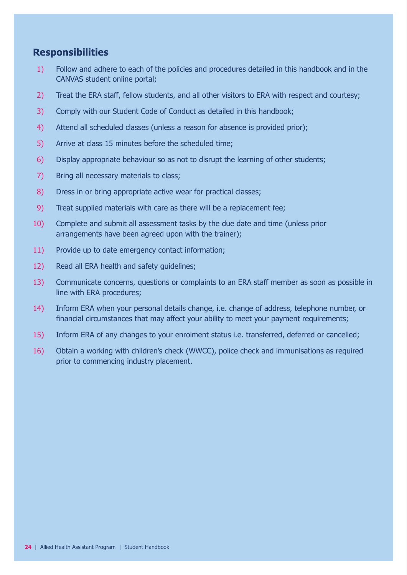### **Responsibilities**

- 1) Follow and adhere to each of the policies and procedures detailed in this handbook and in the CANVAS student online portal;
- 2) Treat the ERA staff, fellow students, and all other visitors to ERA with respect and courtesy;
- 3) Comply with our Student Code of Conduct as detailed in this handbook;
- 4) Attend all scheduled classes (unless a reason for absence is provided prior);
- 5) Arrive at class 15 minutes before the scheduled time;
- 6) Display appropriate behaviour so as not to disrupt the learning of other students;
- 7) Bring all necessary materials to class;
- 8) Dress in or bring appropriate active wear for practical classes;
- 9) Treat supplied materials with care as there will be a replacement fee;
- 10) Complete and submit all assessment tasks by the due date and time (unless prior arrangements have been agreed upon with the trainer);
- 11) Provide up to date emergency contact information;
- 12) Read all ERA health and safety guidelines;
- 13) Communicate concerns, questions or complaints to an ERA staff member as soon as possible in line with ERA procedures;
- 14) Inform ERA when your personal details change, i.e. change of address, telephone number, or financial circumstances that may affect your ability to meet your payment requirements;
- 15) Inform ERA of any changes to your enrolment status i.e. transferred, deferred or cancelled;
- 16) Obtain a working with children's check (WWCC), police check and immunisations as required prior to commencing industry placement.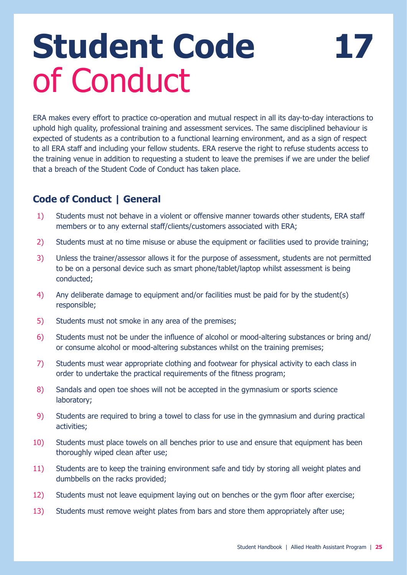# <span id="page-24-0"></span>**Student Code** of Conduct

ERA makes every effort to practice co-operation and mutual respect in all its day-to-day interactions to uphold high quality, professional training and assessment services. The same disciplined behaviour is expected of students as a contribution to a functional learning environment, and as a sign of respect to all ERA staff and including your fellow students. ERA reserve the right to refuse students access to the training venue in addition to requesting a student to leave the premises if we are under the belief that a breach of the Student Code of Conduct has taken place.

### **Code of Conduct | General**

- 1) Students must not behave in a violent or offensive manner towards other students, ERA staff members or to any external staff/clients/customers associated with ERA;
- 2) Students must at no time misuse or abuse the equipment or facilities used to provide training;
- 3) Unless the trainer/assessor allows it for the purpose of assessment, students are not permitted to be on a personal device such as smart phone/tablet/laptop whilst assessment is being conducted;
- 4) Any deliberate damage to equipment and/or facilities must be paid for by the student(s) responsible;
- 5) Students must not smoke in any area of the premises;
- 6) Students must not be under the influence of alcohol or mood-altering substances or bring and/ or consume alcohol or mood-altering substances whilst on the training premises;
- 7) Students must wear appropriate clothing and footwear for physical activity to each class in order to undertake the practical requirements of the fitness program;
- 8) Sandals and open toe shoes will not be accepted in the gymnasium or sports science laboratory;
- 9) Students are required to bring a towel to class for use in the gymnasium and during practical activities;
- 10) Students must place towels on all benches prior to use and ensure that equipment has been thoroughly wiped clean after use;
- 11) Students are to keep the training environment safe and tidy by storing all weight plates and dumbbells on the racks provided;
- 12) Students must not leave equipment laying out on benches or the gym floor after exercise;
- 13) Students must remove weight plates from bars and store them appropriately after use;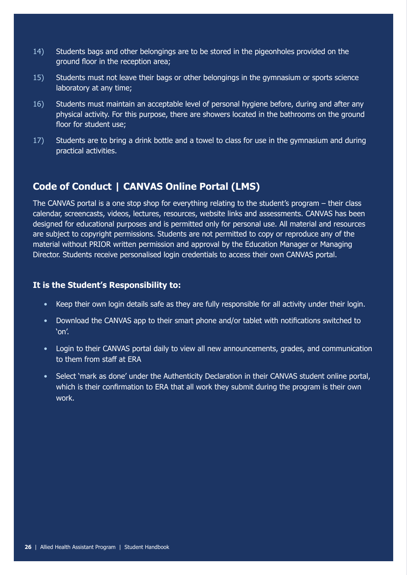- 14) Students bags and other belongings are to be stored in the pigeonholes provided on the ground floor in the reception area;
- 15) Students must not leave their bags or other belongings in the gymnasium or sports science laboratory at any time;
- 16) Students must maintain an acceptable level of personal hygiene before, during and after any physical activity. For this purpose, there are showers located in the bathrooms on the ground floor for student use;
- 17) Students are to bring a drink bottle and a towel to class for use in the gymnasium and during practical activities.

### **Code of Conduct | CANVAS Online Portal (LMS)**

The CANVAS portal is a one stop shop for everything relating to the student's program – their class calendar, screencasts, videos, lectures, resources, website links and assessments. CANVAS has been designed for educational purposes and is permitted only for personal use. All material and resources are subject to copyright permissions. Students are not permitted to copy or reproduce any of the material without PRIOR written permission and approval by the Education Manager or Managing Director. Students receive personalised login credentials to access their own CANVAS portal.

#### **It is the Student's Responsibility to:**

- Keep their own login details safe as they are fully responsible for all activity under their login.
- Download the CANVAS app to their smart phone and/or tablet with notifications switched to 'on'.
- Login to their CANVAS portal daily to view all new announcements, grades, and communication to them from staff at ERA
- Select 'mark as done' under the Authenticity Declaration in their CANVAS student online portal, which is their confirmation to ERA that all work they submit during the program is their own work.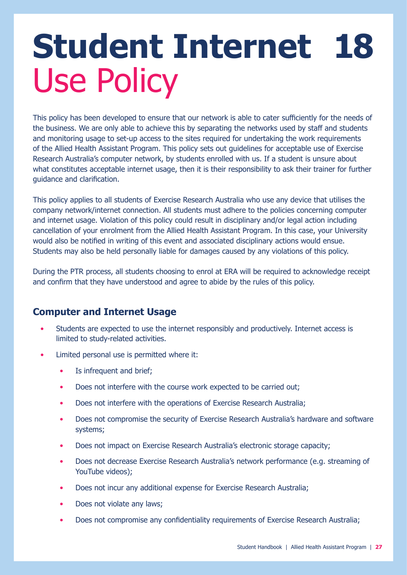# <span id="page-26-0"></span>**Student Internet 18** Use Policy

This policy has been developed to ensure that our network is able to cater sufficiently for the needs of the business. We are only able to achieve this by separating the networks used by staff and students and monitoring usage to set-up access to the sites required for undertaking the work requirements of the Allied Health Assistant Program. This policy sets out guidelines for acceptable use of Exercise Research Australia's computer network, by students enrolled with us. If a student is unsure about what constitutes acceptable internet usage, then it is their responsibility to ask their trainer for further guidance and clarification.

This policy applies to all students of Exercise Research Australia who use any device that utilises the company network/internet connection. All students must adhere to the policies concerning computer and internet usage. Violation of this policy could result in disciplinary and/or legal action including cancellation of your enrolment from the Allied Health Assistant Program. In this case, your University would also be notified in writing of this event and associated disciplinary actions would ensue. Students may also be held personally liable for damages caused by any violations of this policy.

During the PTR process, all students choosing to enrol at ERA will be required to acknowledge receipt and confirm that they have understood and agree to abide by the rules of this policy.

### **Computer and Internet Usage**

- Students are expected to use the internet responsibly and productively. Internet access is limited to study-related activities.
- Limited personal use is permitted where it:
	- Is infrequent and brief;
	- Does not interfere with the course work expected to be carried out;
	- Does not interfere with the operations of Exercise Research Australia;
	- Does not compromise the security of Exercise Research Australia's hardware and software systems;
	- Does not impact on Exercise Research Australia's electronic storage capacity;
	- Does not decrease Exercise Research Australia's network performance (e.g. streaming of YouTube videos);
	- Does not incur any additional expense for Exercise Research Australia;
	- Does not violate any laws;
	- Does not compromise any confidentiality requirements of Exercise Research Australia;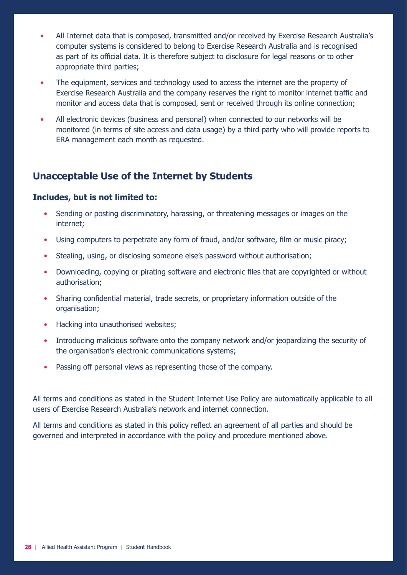- All Internet data that is composed, transmitted and/or received by Exercise Research Australia's computer systems is considered to belong to Exercise Research Australia and is recognised as part of its official data. It is therefore subject to disclosure for legal reasons or to other appropriate third parties;
- The equipment, services and technology used to access the internet are the property of Exercise Research Australia and the company reserves the right to monitor internet traffic and monitor and access data that is composed, sent or received through its online connection;
- All electronic devices (business and personal) when connected to our networks will be monitored (in terms of site access and data usage) by a third party who will provide reports to ERA management each month as requested.

### **Unacceptable Use of the Internet by Students**

### **Includes, but is not limited to:**

- Sending or posting discriminatory, harassing, or threatening messages or images on the internet;
- Using computers to perpetrate any form of fraud, and/or software, film or music piracy;
- Stealing, using, or disclosing someone else's password without authorisation;
- Downloading, copying or pirating software and electronic files that are copyrighted or without authorisation;
- Sharing confidential material, trade secrets, or proprietary information outside of the organisation;
- Hacking into unauthorised websites;
- Introducing malicious software onto the company network and/or jeopardizing the security of the organisation's electronic communications systems;
- Passing off personal views as representing those of the company.

All terms and conditions as stated in the Student Internet Use Policy are automatically applicable to all users of Exercise Research Australia's network and internet connection.

All terms and conditions as stated in this policy reflect an agreement of all parties and should be governed and interpreted in accordance with the policy and procedure mentioned above.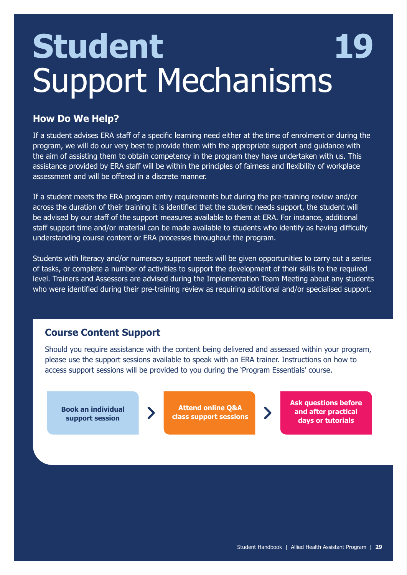### <span id="page-28-0"></span>**Student** Support Mechanisms **19**

### **How Do We Help?**

If a student advises ERA staff of a specific learning need either at the time of enrolment or during the program, we will do our very best to provide them with the appropriate support and guidance with the aim of assisting them to obtain competency in the program they have undertaken with us. This assistance provided by ERA staff will be within the principles of fairness and flexibility of workplace assessment and will be offered in a discrete manner.

If a student meets the ERA program entry requirements but during the pre-training review and/or across the duration of their training it is identified that the student needs support, the student will be advised by our staff of the support measures available to them at ERA. For instance, additional staff support time and/or material can be made available to students who identify as having difficulty understanding course content or ERA processes throughout the program.

Students with literacy and/or numeracy support needs will be given opportunities to carry out a series of tasks, or complete a number of activities to support the development of their skills to the required level. Trainers and Assessors are advised during the Implementation Team Meeting about any students who were identified during their pre-training review as requiring additional and/or specialised support.

### **Course Content Support**

Should you require assistance with the content being delivered and assessed within your program, please use the support sessions available to speak with an ERA trainer. Instructions on how to access support sessions will be provided to you during the 'Program Essentials' course.

**Book an individual support session**

**Attend online Q&A class support sessions**

 $\blacktriangleright$ 

**Ask questions before and after practical days or tutorials**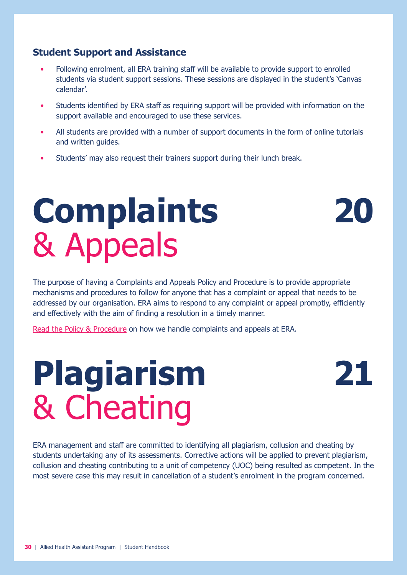### <span id="page-29-0"></span>**Student Support and Assistance**

- Following enrolment, all ERA training staff will be available to provide support to enrolled students via student support sessions. These sessions are displayed in the student's 'Canvas calendar'.
- Students identified by ERA staff as requiring support will be provided with information on the support available and encouraged to use these services.
- All students are provided with a number of support documents in the form of online tutorials and written guides.
- Students' may also request their trainers support during their lunch break.

# **Complaints** & Appeals

**20**

The purpose of having a Complaints and Appeals Policy and Procedure is to provide appropriate mechanisms and procedures to follow for anyone that has a complaint or appeal that needs to be addressed by our organisation. ERA aims to respond to any complaint or appeal promptly, efficiently and effectively with the aim of finding a resolution in a timely manner.

[Read the Policy & Procedure](https://www.exerciseresearch.com.au/governance/complaints-and-appeals) on how we handle complaints and appeals at ERA.

# **Plagiarism** & Cheating

**21**

ERA management and staff are committed to identifying all plagiarism, collusion and cheating by students undertaking any of its assessments. Corrective actions will be applied to prevent plagiarism, collusion and cheating contributing to a unit of competency (UOC) being resulted as competent. In the most severe case this may result in cancellation of a student's enrolment in the program concerned.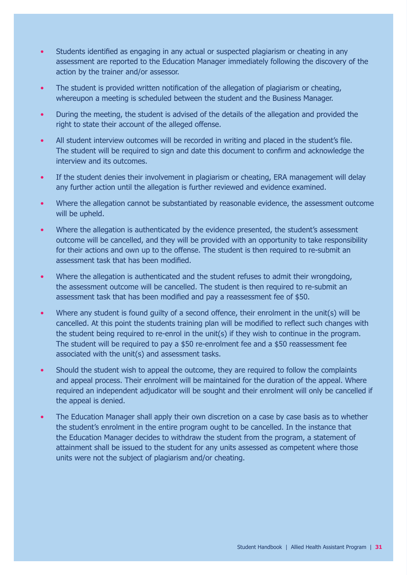- Students identified as engaging in any actual or suspected plagiarism or cheating in any assessment are reported to the Education Manager immediately following the discovery of the action by the trainer and/or assessor.
- The student is provided written notification of the allegation of plagiarism or cheating, whereupon a meeting is scheduled between the student and the Business Manager.
- During the meeting, the student is advised of the details of the allegation and provided the right to state their account of the alleged offense.
- All student interview outcomes will be recorded in writing and placed in the student's file. The student will be required to sign and date this document to confirm and acknowledge the interview and its outcomes.
- If the student denies their involvement in plagiarism or cheating, ERA management will delay any further action until the allegation is further reviewed and evidence examined.
- Where the allegation cannot be substantiated by reasonable evidence, the assessment outcome will be upheld.
- Where the allegation is authenticated by the evidence presented, the student's assessment outcome will be cancelled, and they will be provided with an opportunity to take responsibility for their actions and own up to the offense. The student is then required to re-submit an assessment task that has been modified.
- Where the allegation is authenticated and the student refuses to admit their wrongdoing, the assessment outcome will be cancelled. The student is then required to re-submit an assessment task that has been modified and pay a reassessment fee of \$50.
- Where any student is found guilty of a second offence, their enrolment in the unit(s) will be cancelled. At this point the students training plan will be modified to reflect such changes with the student being required to re-enrol in the unit(s) if they wish to continue in the program. The student will be required to pay a \$50 re-enrolment fee and a \$50 reassessment fee associated with the unit(s) and assessment tasks.
- Should the student wish to appeal the outcome, they are required to follow the complaints and appeal process. Their enrolment will be maintained for the duration of the appeal. Where required an independent adjudicator will be sought and their enrolment will only be cancelled if the appeal is denied.
- The Education Manager shall apply their own discretion on a case by case basis as to whether the student's enrolment in the entire program ought to be cancelled. In the instance that the Education Manager decides to withdraw the student from the program, a statement of attainment shall be issued to the student for any units assessed as competent where those units were not the subject of plagiarism and/or cheating.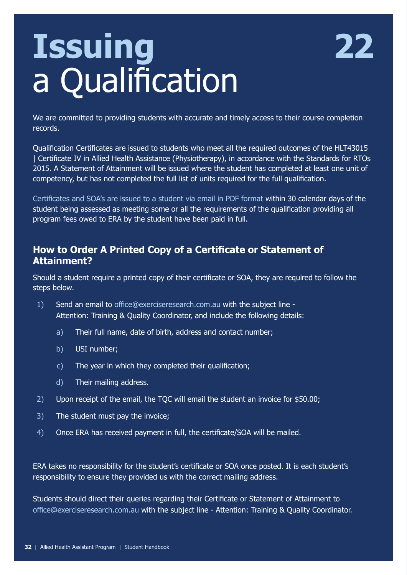# <span id="page-31-0"></span>**Issuing** a Qualification

We are committed to providing students with accurate and timely access to their course completion records.

Qualification Certificates are issued to students who meet all the required outcomes of the HLT43015 | Certificate IV in Allied Health Assistance (Physiotherapy), in accordance with the Standards for RTOs 2015. A Statement of Attainment will be issued where the student has completed at least one unit of competency, but has not completed the full list of units required for the full qualification.

Certificates and SOA's are issued to a student via email in PDF format within 30 calendar days of the student being assessed as meeting some or all the requirements of the qualification providing all program fees owed to ERA by the student have been paid in full.

### **How to Order A Printed Copy of a Certificate or Statement of Attainment?**

Should a student require a printed copy of their certificate or SOA, they are required to follow the steps below.

- 1) Send an email to [office@exerciseresearch.com.au](mailto:office%40exerciseresearch.com.au?subject=Attention%3A%20Training%20%26%20Quality%20Coordinator) with the subject line Attention: Training & Quality Coordinator, and include the following details:
	- a) Their full name, date of birth, address and contact number;
	- b) USI number;
	- c) The year in which they completed their qualification;
	- d) Their mailing address.
- 2) Upon receipt of the email, the TQC will email the student an invoice for \$50.00;
- 3) The student must pay the invoice;
- 4) Once ERA has received payment in full, the certificate/SOA will be mailed.

ERA takes no responsibility for the student's certificate or SOA once posted. It is each student's responsibility to ensure they provided us with the correct mailing address.

Students should direct their queries regarding their Certificate or Statement of Attainment to [office@exerciseresearch.com.au](mailto:office%40exerciseresearch.com.au?subject=Attention%3A%20Training%20%26%20Quality%20Coordinator) with the subject line - Attention: Training & Quality Coordinator.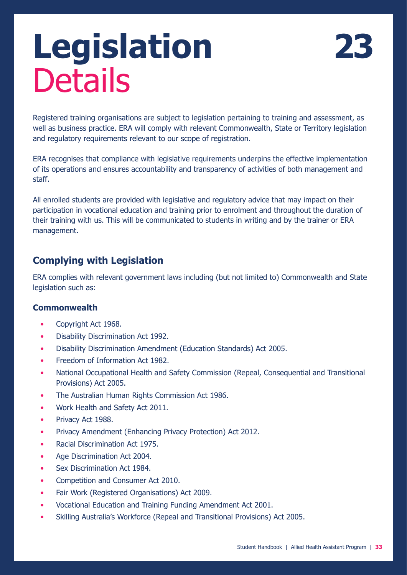# <span id="page-32-0"></span>**Legislation 23 Details**

Registered training organisations are subject to legislation pertaining to training and assessment, as well as business practice. ERA will comply with relevant Commonwealth, State or Territory legislation and regulatory requirements relevant to our scope of registration.

ERA recognises that compliance with legislative requirements underpins the effective implementation of its operations and ensures accountability and transparency of activities of both management and staff.

All enrolled students are provided with legislative and regulatory advice that may impact on their participation in vocational education and training prior to enrolment and throughout the duration of their training with us. This will be communicated to students in writing and by the trainer or ERA management.

### **Complying with Legislation**

ERA complies with relevant government laws including (but not limited to) Commonwealth and State legislation such as:

### **Commonwealth**

- Copyright Act 1968.
- Disability Discrimination Act 1992.
- Disability Discrimination Amendment (Education Standards) Act 2005.
- Freedom of Information Act 1982.
- National Occupational Health and Safety Commission (Repeal, Consequential and Transitional Provisions) Act 2005.
- The Australian Human Rights Commission Act 1986.
- Work Health and Safety Act 2011.
- Privacy Act 1988.
- Privacy Amendment (Enhancing Privacy Protection) Act 2012.
- Racial Discrimination Act 1975.
- Age Discrimination Act 2004.
- Sex Discrimination Act 1984.
- Competition and Consumer Act 2010.
- Fair Work (Registered Organisations) Act 2009.
- Vocational Education and Training Funding Amendment Act 2001.
- Skilling Australia's Workforce (Repeal and Transitional Provisions) Act 2005.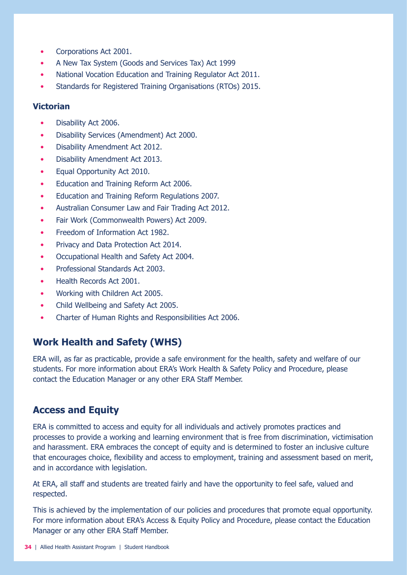- Corporations Act 2001.
- A New Tax System (Goods and Services Tax) Act 1999
- National Vocation Education and Training Regulator Act 2011.
- Standards for Registered Training Organisations (RTOs) 2015.

### **Victorian**

- Disability Act 2006.
- Disability Services (Amendment) Act 2000.
- Disability Amendment Act 2012.
- Disability Amendment Act 2013.
- Equal Opportunity Act 2010.
- Education and Training Reform Act 2006.
- Education and Training Reform Regulations 2007.
- Australian Consumer Law and Fair Trading Act 2012.
- Fair Work (Commonwealth Powers) Act 2009.
- Freedom of Information Act 1982.
- Privacy and Data Protection Act 2014.
- Occupational Health and Safety Act 2004.
- Professional Standards Act 2003.
- Health Records Act 2001.
- Working with Children Act 2005.
- Child Wellbeing and Safety Act 2005.
- Charter of Human Rights and Responsibilities Act 2006.

### **Work Health and Safety (WHS)**

ERA will, as far as practicable, provide a safe environment for the health, safety and welfare of our students. For more information about ERA's Work Health & Safety Policy and Procedure, please contact the Education Manager or any other ERA Staff Member.

### **Access and Equity**

ERA is committed to access and equity for all individuals and actively promotes practices and processes to provide a working and learning environment that is free from discrimination, victimisation and harassment. ERA embraces the concept of equity and is determined to foster an inclusive culture that encourages choice, flexibility and access to employment, training and assessment based on merit, and in accordance with legislation.

At ERA, all staff and students are treated fairly and have the opportunity to feel safe, valued and respected.

This is achieved by the implementation of our policies and procedures that promote equal opportunity. For more information about ERA's Access & Equity Policy and Procedure, please contact the Education Manager or any other ERA Staff Member.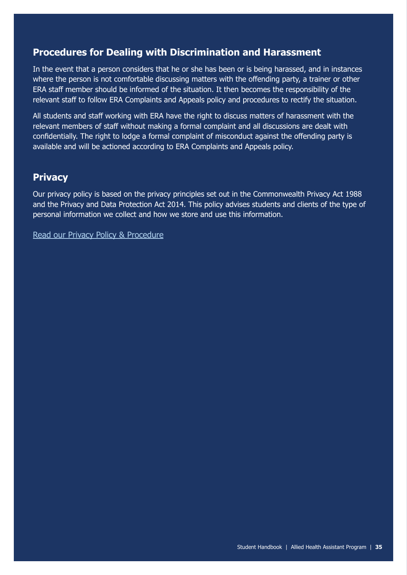### **Procedures for Dealing with Discrimination and Harassment**

In the event that a person considers that he or she has been or is being harassed, and in instances where the person is not comfortable discussing matters with the offending party, a trainer or other ERA staff member should be informed of the situation. It then becomes the responsibility of the relevant staff to follow ERA Complaints and Appeals policy and procedures to rectify the situation.

All students and staff working with ERA have the right to discuss matters of harassment with the relevant members of staff without making a formal complaint and all discussions are dealt with confidentially. The right to lodge a formal complaint of misconduct against the offending party is available and will be actioned according to ERA Complaints and Appeals policy.

### **Privacy**

Our privacy policy is based on the privacy principles set out in the Commonwealth Privacy Act 1988 and the Privacy and Data Protection Act 2014. This policy advises students and clients of the type of personal information we collect and how we store and use this information.

[Read our Privacy Policy & Procedure](https://www.exerciseresearch.com.au/privacy)